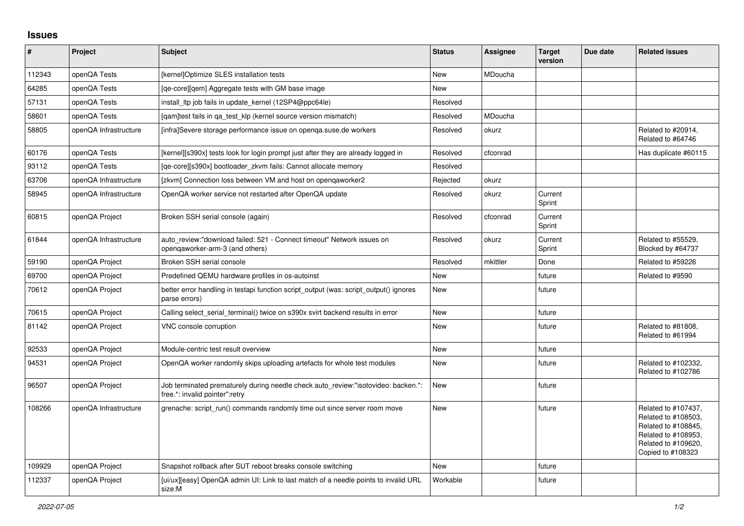## **Issues**

| ∦      | Project               | <b>Subject</b>                                                                                                      | <b>Status</b> | Assignee | <b>Target</b><br>version | Due date | <b>Related issues</b>                                                                                                                |
|--------|-----------------------|---------------------------------------------------------------------------------------------------------------------|---------------|----------|--------------------------|----------|--------------------------------------------------------------------------------------------------------------------------------------|
| 112343 | openQA Tests          | [kernel]Optimize SLES installation tests                                                                            | <b>New</b>    | MDoucha  |                          |          |                                                                                                                                      |
| 64285  | openQA Tests          | [ge-core][gem] Aggregate tests with GM base image                                                                   | New           |          |                          |          |                                                                                                                                      |
| 57131  | openQA Tests          | install Itp job fails in update kernel (12SP4@ppc64le)                                                              | Resolved      |          |                          |          |                                                                                                                                      |
| 58601  | openQA Tests          | [gam]test fails in ga_test_klp (kernel source version mismatch)                                                     | Resolved      | MDoucha  |                          |          |                                                                                                                                      |
| 58805  | openQA Infrastructure | [infra]Severe storage performance issue on openqa.suse.de workers                                                   | Resolved      | okurz    |                          |          | Related to #20914,<br>Related to #64746                                                                                              |
| 60176  | openQA Tests          | [kernel][s390x] tests look for login prompt just after they are already logged in                                   | Resolved      | cfconrad |                          |          | Has duplicate #60115                                                                                                                 |
| 93112  | openQA Tests          | [ge-core][s390x] bootloader zkvm fails: Cannot allocate memory                                                      | Resolved      |          |                          |          |                                                                                                                                      |
| 63706  | openQA Infrastructure | [zkvm] Connection loss between VM and host on opengaworker2                                                         | Rejected      | okurz    |                          |          |                                                                                                                                      |
| 58945  | openQA Infrastructure | OpenQA worker service not restarted after OpenQA update                                                             | Resolved      | okurz    | Current<br>Sprint        |          |                                                                                                                                      |
| 60815  | openQA Project        | Broken SSH serial console (again)                                                                                   | Resolved      | cfconrad | Current<br>Sprint        |          |                                                                                                                                      |
| 61844  | openQA Infrastructure | auto review:"download failed: 521 - Connect timeout" Network issues on<br>opengaworker-arm-3 (and others)           | Resolved      | okurz    | Current<br>Sprint        |          | Related to #55529.<br>Blocked by #64737                                                                                              |
| 59190  | openQA Project        | Broken SSH serial console                                                                                           | Resolved      | mkittler | Done                     |          | Related to #59226                                                                                                                    |
| 69700  | openQA Project        | Predefined QEMU hardware profiles in os-autoinst                                                                    | <b>New</b>    |          | future                   |          | Related to #9590                                                                                                                     |
| 70612  | openQA Project        | better error handling in testapi function script_output (was: script_output() ignores<br>parse errors)              | <b>New</b>    |          | future                   |          |                                                                                                                                      |
| 70615  | openQA Project        | Calling select_serial_terminal() twice on s390x svirt backend results in error                                      | <b>New</b>    |          | future                   |          |                                                                                                                                      |
| 81142  | openQA Project        | VNC console corruption                                                                                              | New           |          | future                   |          | Related to #81808,<br>Related to #61994                                                                                              |
| 92533  | openQA Project        | Module-centric test result overview                                                                                 | New           |          | future                   |          |                                                                                                                                      |
| 94531  | openQA Project        | OpenQA worker randomly skips uploading artefacts for whole test modules                                             | <b>New</b>    |          | future                   |          | Related to #102332,<br>Related to #102786                                                                                            |
| 96507  | openQA Project        | Job terminated prematurely during needle check auto review:"isotovideo: backen.*:<br>free.*: invalid pointer":retry | <b>New</b>    |          | future                   |          |                                                                                                                                      |
| 108266 | openQA Infrastructure | grenache: script run() commands randomly time out since server room move                                            | New           |          | future                   |          | Related to #107437,<br>Related to #108503,<br>Related to #108845,<br>Related to #108953,<br>Related to #109620,<br>Copied to #108323 |
| 109929 | openQA Project        | Snapshot rollback after SUT reboot breaks console switching                                                         | New           |          | future                   |          |                                                                                                                                      |
| 112337 | openQA Project        | [ui/ux][easy] OpenQA admin UI: Link to last match of a needle points to invalid URL<br>size:M                       | Workable      |          | future                   |          |                                                                                                                                      |